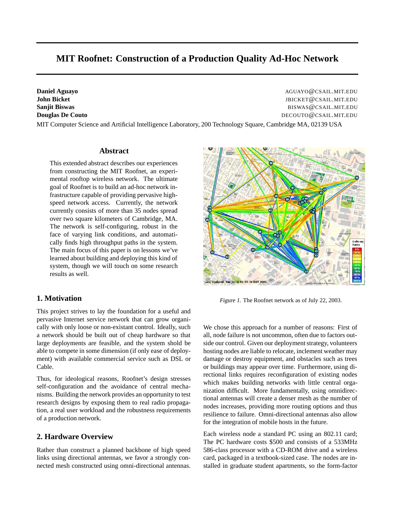# **MIT Roofnet: Construction of a Production Quality Ad-Hoc Network**

**Daniel Aguayo** AGUAYO@CSAIL.MIT.EDU **John Bicket** JBICKET@CSAIL.MIT.EDU **Sanjit Biswas** BISWAS@CSAIL.MIT.EDU **Douglas De Couto** Decouto Decouto Decouto DECOUTO **@CSAIL.MIT.EDU** 

MIT Computer Science and Artificial Intelligence Laboratory, 200 Technology Square, Cambridge MA, 02139 USA

#### **Abstract**

This extended abstract describes our experiences from constructing the MIT Roofnet, an experimental rooftop wireless network. The ultimate goal of Roofnet is to build an ad-hoc network infrastructure capable of providing pervasive highspeed network access. Currently, the network currently consists of more than 35 nodes spread over two square kilometers of Cambridge, MA. The network is self-configuring, robust in the face of varying link conditions, and automatically finds high throughput paths in the system. The main focus of this paper is on lessons we've learned about building and deploying this kind of system, though we will touch on some research results as well.

#### **1. Motivation**

This project strives to lay the foundation for a useful and pervasive Internet service network that can grow organically with only loose or non-existant control. Ideally, such a network should be built out of cheap hardware so that large deployments are feasible, and the system shold be able to compete in some dimension (if only ease of deployment) with available commercial service such as DSL or Cable.

Thus, for ideological reasons, Roofnet's design stresses self-configuration and the avoidance of central mechanisms. Building the network provides an opportunity to test research designs by exposing them to real radio propagation, a real user workload and the robustness requirements of a production network.

#### **2. Hardware Overview**

Rather than construct a planned backbone of high speed links using directional antennas, we favor a strongly connected mesh constructed using omni-directional antennas.



Figure 1. The Roofnet network as of July 22, 2003.

We chose this approach for a number of reasons: First of all, node failure is not uncommon, often due to factors outside our control. Given our deployment strategy, volunteers hosting nodes are liable to relocate, inclement weather may damage or destroy equipment, and obstacles such as trees or buildings may appear over time. Furthermore, using directional links requires reconfiguration of existing nodes which makes building networks with little central organization difficult. More fundamentally, using omnidirectional antennas will create a denser mesh as the number of nodes increases, providing more routing options and thus resilience to failure. Omni-directional antennas also allow for the integration of mobile hosts in the future.

Each wireless node a standard PC using an 802.11 card; The PC hardware costs \$500 and consists of a 533MHz 586-class processor with a CD-ROM drive and a wireless card, packaged in a textbook-sized case. The nodes are installed in graduate student apartments, so the form-factor